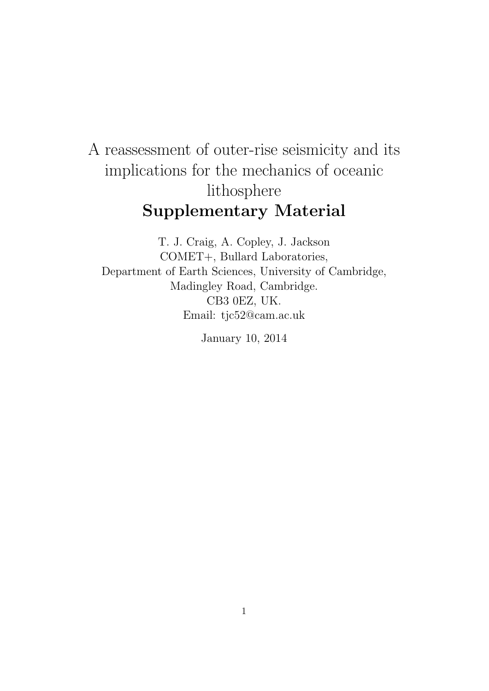## A reassessment of outer-rise seismicity and its implications for the mechanics of oceanic lithosphere Supplementary Material

T. J. Craig, A. Copley, J. Jackson COMET+, Bullard Laboratories, Department of Earth Sciences, University of Cambridge, Madingley Road, Cambridge. CB3 0EZ, UK. Email: tjc52@cam.ac.uk

January 10, 2014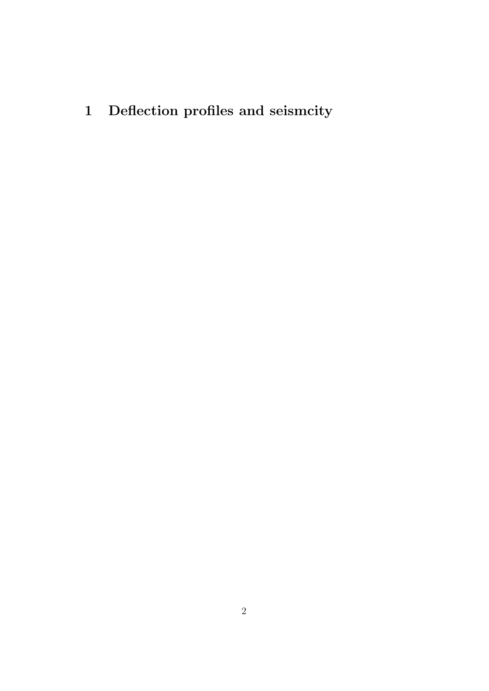1 Deflection profiles and seismcity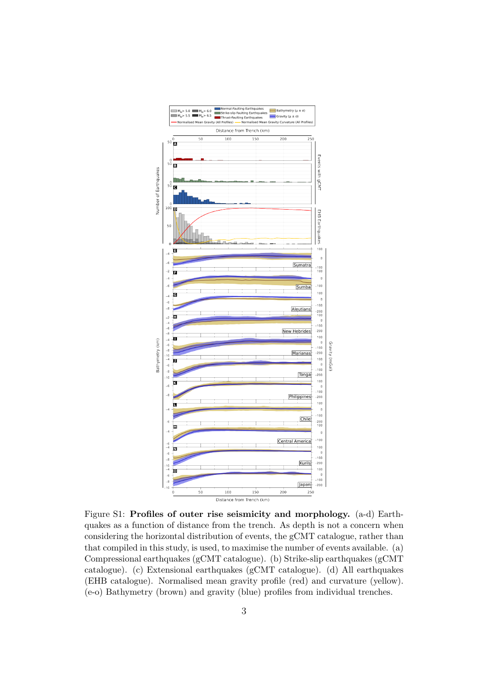

Figure S1: Profiles of outer rise seismicity and morphology. (a-d) Earthquakes as a function of distance from the trench. As depth is not a concern when considering the horizontal distribution of events, the gCMT catalogue, rather than that compiled in this study, is used, to maximise the number of events available. (a) Compressional earthquakes (gCMT catalogue). (b) Strike-slip earthquakes (gCMT catalogue). (c) Extensional earthquakes (gCMT catalogue). (d) All earthquakes (EHB catalogue). Normalised mean gravity profile (red) and curvature (yellow). (e-o) Bathymetry (brown) and gravity (blue) profiles from individual trenches.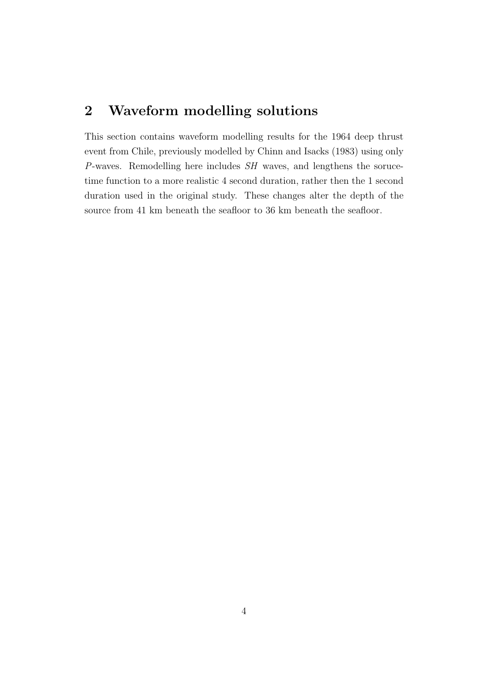## 2 Waveform modelling solutions

This section contains waveform modelling results for the 1964 deep thrust event from Chile, previously modelled by Chinn and Isacks (1983) using only  $P$ -waves. Remodelling here includes  $SH$  waves, and lengthens the sorucetime function to a more realistic 4 second duration, rather then the 1 second duration used in the original study. These changes alter the depth of the source from 41 km beneath the seafloor to 36 km beneath the seafloor.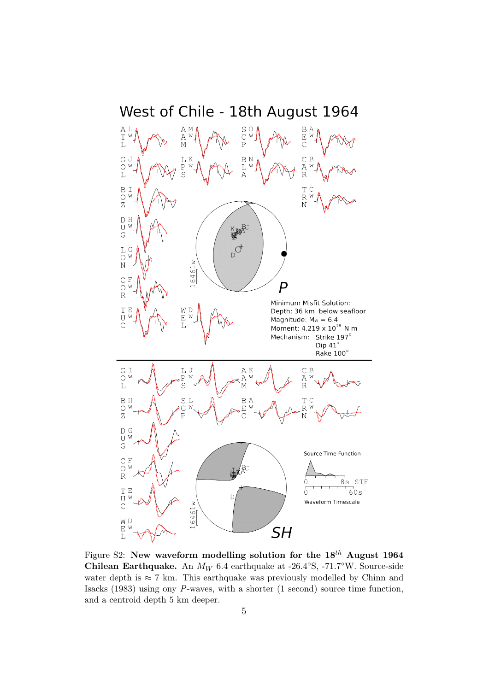

Figure S2: New waveform modelling solution for the  $18^{th}$  August 1964 Chilean Earthquake. An  $M_W$  6.4 earthquake at -26.4°S, -71.7°W. Source-side water depth is  $\approx 7$  km. This earthquake was previously modelled by Chinn and Isacks (1983) using ony P-waves, with a shorter (1 second) source time function, and a centroid depth 5 km deeper.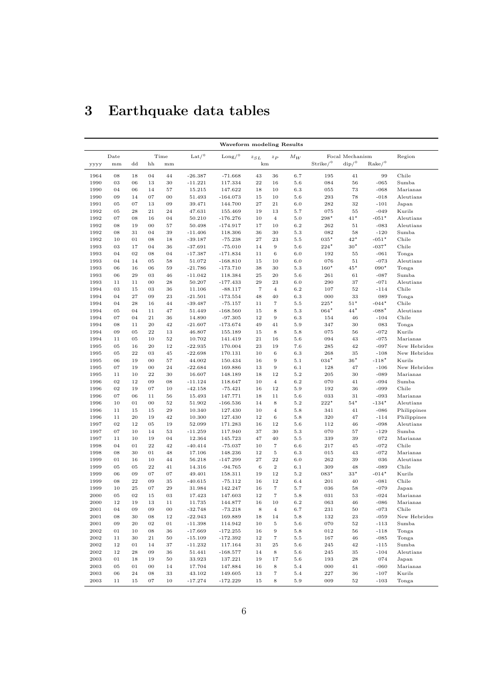| Waveform modeling Results |         |          |            |         |                                |                        |                   |                   |         |                             |                                  |                      |              |
|---------------------------|---------|----------|------------|---------|--------------------------------|------------------------|-------------------|-------------------|---------|-----------------------------|----------------------------------|----------------------|--------------|
|                           | Date    |          |            | Time    | $\operatorname{Lat}/\!{\circ}$ | $\text{Long}/^{\circ}$ | $z_{SL}$<br>$z_P$ |                   | $M_W$   | Focal Mechanism             |                                  |                      | Region       |
| уууу                      | mm      | dd       | hh         | mm      |                                |                        | km                |                   |         | $\mathrm{Strike}/\!{\circ}$ | $\mathrm{dip}/\mathrm{^{\circ}}$ | $\rm{Rate}/^{\circ}$ |              |
| 1964                      | 08      | 18       | 04         | 44      | $-26.387$                      | $-71.668$              | 43                | 36                | 6.7     | 195                         | 41                               | 99                   | Chile        |
| 1990                      | 03      | 06       | 13         | 30      | $-11.221$                      | 117.334                | $\bf{^{22}}$      | 16                | 5.6     | 084                         | 56                               | $-065$               | Sumba        |
| 1990                      | 04      | 06       | 14         | 57      | 15.215                         | 147.622                | 18                | 10                | 6.3     | 055                         | 73                               | $-068$               | Marianas     |
| 1990                      | 09      | 14       | 07         | 00      | 51.493                         | $-164.073$             | 15                | 10                | 5.6     | 293                         | 78                               | $-018$               | Aleutians    |
| 1991                      | 05      | 07       | 13         | 09      | 39.471                         | 144.700                | 27                | 21                | 6.0     | 282                         | 32                               | $-101$               | Japan        |
| 1992                      | 05      | 28       | 21         | 24      | 47.631                         | 155.469                | 19                | 13                | 5.7     | 075                         | 55                               | $-049$               | Kurils       |
| 1992                      | 07      | 08       | 16         | 04      | 50.210                         | $-176.276$             | 10                | $\overline{4}$    | 5.0     | $298*$                      | $41*$                            | $-051*$              | Aleutians    |
| 1992                      | 08      | 19       | 00         | 57      | 50.498                         | $-174.917$             | 17                | 10                | 6.2     | 262                         | 51                               | $-083$               | Aleutians    |
| 1992                      | 08      | 31       | 04         | 39      | $-11.406$                      | 118.306                | 36                | 30                | 5.3     | 082                         | 58                               | $-120$               | Sumba        |
| 1992                      | 10      | 01       | 08         | 18      | $-39.187$                      | $-75.238$              | 27                | 23                | $5.5\,$ | $035*$                      | $42*$                            | $-051*$              | Chile        |
| 1993                      | 03      | 17       | 04         | 36      | $-37.691$                      | $-75.010$              | 14                | 9                 | 5.6     | $224*$                      | $30*$                            | $-037*$              | Chile        |
| 1993                      | 04      | 02       | 08         | 04      | $-17.387$                      | $-171.834$             | 11                | 6                 | 6.0     | 192                         | 55                               | $-061$               | Tonga        |
| 1993                      | 04      | 14       | 05         | 58      | 51.072                         | $-168.810$             | 15                | 10                | 6.0     | 076                         | 51                               | $-073$               | Aleutians    |
| 1993                      | 06      | 16       | 06         | 59      | $-21.786$                      | $-173.710$             | 38                | 30                | 5.3     | $160*$                      | $45*$                            | $090*$               | Tonga        |
| 1993                      | 06      | 29       | 03         | 46      | $-11.042$                      | 118.384                | 25                | 20                | 5.6     | 261                         | 61                               | $-087$               | Sumba        |
| 1993                      | 11      | 11       | 00         | 28      | 50.207                         | $-177.433$             | 29                | 23                | 6.0     | 290                         | 37                               | $-071$               | Aleutians    |
| 1994                      | 03      | 15       | 03         | 36      | 11.106                         | $-88.117$              | $\scriptstyle{7}$ | $\overline{4}$    | 6.2     | 107                         | 52                               | $-114$               | Chile        |
| 1994                      | 04      | 27       | 09         | 23      | $-21.501$                      | $-173.554$             | 48                | 40                | 6.3     | 000                         | 33                               | 089                  | Tonga        |
| 1994                      | 04      | 28       | 16         | 44      | $-39.487$                      | $-75.157$              | 11                | $\scriptstyle{7}$ | $5.5\,$ | $225*$                      | $51*$                            | $-044*$              | Chile        |
| 1994                      | 05      | 04       | 11         | 47      | 51.449                         | $-168.560$             | 15                | 8                 | 5.3     | $064*$                      | $44*$                            | $-088*$              | Aleutians    |
| 1994                      | 07      | 04       | 21         | 36      | 14.890                         | $-97.305$              | 12                | 9                 | 6.3     | 154                         | 46                               | $-104$               | Chile        |
| 1994                      | 08      | 11       | 20         | 42      | $-21.607$                      | $-173.674$             | 49                | 41                | 5.9     | 347                         | 30                               | 083                  | Tonga        |
| 1994                      | 09      | 05       | 22         | 13      | 46.807                         | 155.189                | 15                | 8                 | 5.8     | 075                         | 56                               | $-072$               | Kurils       |
| 1994                      | 11      | 05       | 10         | 52      | 10.702                         | 141.419                | 21                | 16                | 5.6     | 094                         | 43                               | $-075$               | Marianas     |
| 1995                      | 05      | 16       | 20         | 12      | $-22.935$                      | 170.004                | 23                | 19                | 7.6     | 285                         | 42                               | $-097$               | New Hebrides |
| 1995                      | 05      | 22       | 03         | 45      | $-22.698$                      | 170.131                | 10                | 6                 | 6.3     | 268                         | 35                               | $-108$               | New Hebrides |
| 1995                      | 06      | 19       | 00         | 57      | 44.002                         | 150.434                | 16                | 9                 | 5.1     | $034*$                      | $36*$                            | $-118*$              | Kurils       |
| 1995                      | 07      | 19       | 00         | 24      | $-22.684$                      | 169.886                | 13                | 9                 | 6.1     | 128                         | 47                               | $-106$               | New Hebrides |
| 1995                      | 11      | 10       | 22         | 30      | 16.607                         | 148.189                | 18                | 12                | 5.2     | 205                         | 30                               | $-089$               | Marianas     |
| 1996                      | 02      | 12       | 09         | 08      | $-11.124$                      | 118.647                | 10                | $\overline{4}$    | 6.2     | 070                         | 41                               | $-094$               | Sumba        |
| 1996                      | 02      | 19       | 07         | 10      | $-42.158$                      | $-75.421$              | 16                | 12                | 5.9     | 192                         | 36                               | $-099$               | Chile        |
| 1996                      | 07      | 06       | 11         | 56      | 15.493                         | 147.771                | 18                | 11                | 5.6     | 033                         | 31                               | $-093$               | Marianas     |
| 1996                      | 10      | 01       | 00         | 52      | 51.902                         | $-166.536$             | 14                | 8                 | 5.2     | $222*$                      | $54*$                            | $-134*$              | Aleutians    |
| 1996                      | 11      | 15       | 15         | 29      | 10.340                         | 127.430                | 10                | $\overline{4}$    | 5.8     | 341                         | 41                               | $-086$               | Philippines  |
| 1996                      | 11      | 20       | 19         | 42      | 10.300                         | 127.430                | 12                | 6                 | 5.8     | 320                         | 47                               | $-114$               | Philippines  |
| 1997                      | 02      | 12       | 05         | 19      | 52.099                         | 171.283                | 16                | 12                | 5.6     | 112                         | 46                               | $-098$               | Aleutians    |
| 1997                      | 07      | 10       | 14         | 53      | $-11.259$                      | 117.940                | 37                | 30                | 5.3     | 070                         | 57                               | $-129$               | Sumba        |
| 1997                      | 11      | 10       | 19         | 04      | 12.364                         | 145.723                | 47                | 40                | $5.5\,$ | 339                         | 39                               | 072                  | Marianas     |
| 1998                      | 04      | 01       | 22         | 42      | $-40.414$                      | $-75.037$              | 10                | 7                 | 6.6     | 217                         | 45                               | $-072$               | Chile        |
| 1998                      | 08      | 30       | 01         | 48      | 17.106                         | 148.236                | 12                | 5                 | 6.3     | 015                         | 43                               | $-072$               | Marianas     |
| 1999                      | 01      | 16       | 10         | 44      | 56.218                         | $-147.299$             | 27                | $^{22}$           | 6.0     | 262                         | 39                               | 036                  | Aleutians    |
| 1999                      | 05      | 05       | 22         | 41      | 14.316                         | $-94.765$              | 6                 | $\,2$             | 6.1     | 309                         | 48                               | $-089$               | Chile        |
| 1999                      | 06      | 09       | 07         | 07      | 49.401                         | 158.311                | 19                | 12                | 5.2     | $083*$                      | $33*$                            | $-014*$              | Kurils       |
| 1999                      | 08      | 22       | 09         | 35      | $-40.615$                      | $-75.112$              | 16                | 12                | 6.4     | 201                         | 40                               | $-081$               | Chile        |
| 1999                      | 10      | 25       | 07         | 29      | 31.984                         | 142.247                | 16                | $\scriptstyle{7}$ | 5.7     | 036                         | 58                               | $-079$               | Japan        |
| 2000                      | 05      | 02       | 15         | 03      | 17.423                         | 147.603                | 12                | $\scriptstyle{7}$ | 5.8     | 031                         | 53                               | $-024$               | Marianas     |
| 2000                      | 12      | 19       | 13         | 11      | 11.735                         | 144.877                | 16                | 10                | 6.2     | 063                         | 46                               | $-086$               | Marianas     |
| 2001                      | 04      | 09       | 09         | $_{00}$ | $-32.748$                      | $-73.218$              | 8                 | 4                 | 6.7     | 231                         | 50                               | $-073$               | Chile        |
| 2001                      | 08      | 30       | 08         | 12      | $-22.943$                      | 169.889                | 18                | 14                | 5.8     | 132                         | 23                               | $-059$               | New Hebrides |
| $\,2001\,$                | 09      | $\rm 20$ | ${\bf 02}$ | $01\,$  | $-11.398$                      | 114.942                | 10                | 5                 | $5.6\,$ | 070                         | $52\,$                           | $-113$               | Sumba        |
| $\,2002\,$                | $_{01}$ | 10       | 08         | 36      | $-17.669$                      | $-172.255$             | 16                | 9                 | 5.8     | 012                         | 56                               | $-118$               | Tonga        |
| $\,2002\,$                | 11      | 30       | 21         | 50      | $-15.109$                      | $-172.392$             | 12                | 7                 | $5.5\,$ | 167                         | 46                               | $-085$               | Tonga        |
| $\,2002\,$                | 12      | 01       | 14         | 37      | $-11.232$                      | 117.164                | 31                | 25                | 5.6     | 245                         | 42                               | $-115$               | Sumba        |
| $\,2002\,$                | $12\,$  | 28       | 09         | 36      | 51.441                         | $-168.577$             | 14                | 8                 | $5.6\,$ | 245                         | 35                               | $-104$               | Aleutians    |
| $\,2003\,$                | 01      | 18       | 19         | 50      | 33.923                         | 137.221                | 19                | 17                | $5.6\,$ | 193                         | 28                               | 074                  | Japan        |
| 2003                      | 05      | 01       | 00         | 14      | 17.704                         | 147.884                | 16                | 8                 | 5.4     | 000                         | 41                               | $-060$               | Marianas     |
| 2003                      | 06      | 24       | 08         | 33      | 43.102                         | 149.605                | 13                | $\scriptstyle{7}$ | 5.4     | 227                         | 36                               | $-107$               | Kurils       |
| 2003                      | 11      | $15\,$   | 07         | 10      | $-17.274$                      | $-172.229$             | $15\,$            | 8                 | 5.9     | 009                         | 52                               | $-103$               | Tonga        |

## 3 Earthquake data tables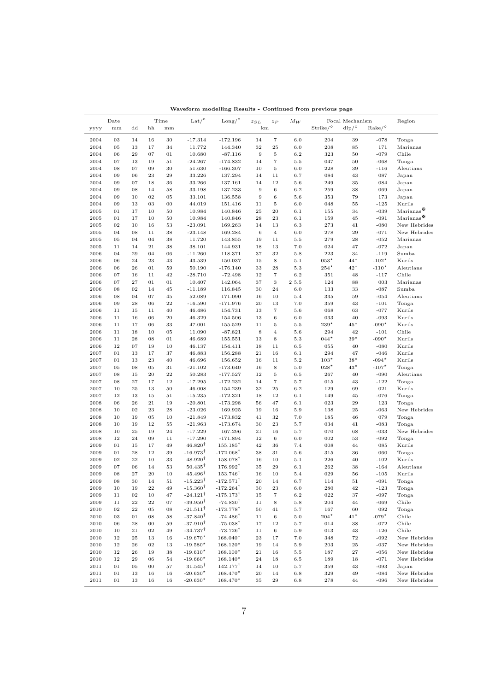|            | Date   |             | Time         |              | Lat/°                      | $\rm{Long/}^{\circ}$ | $z_{SL}$         | $z_P$             | $M_W$   |                        | Focal Mechanism                  |                           | Region                         |
|------------|--------|-------------|--------------|--------------|----------------------------|----------------------|------------------|-------------------|---------|------------------------|----------------------------------|---------------------------|--------------------------------|
| уууу       | mm     | $_{\rm dd}$ | hh           | mm           |                            |                      | km               |                   |         | $Strike/$ <sup>°</sup> | $\mathrm{dip}/\mathrm{^{\circ}}$ | $\mathrm{Rate}/\!{\circ}$ |                                |
|            |        |             |              |              |                            |                      |                  |                   |         |                        |                                  |                           |                                |
| 2004       | 03     | 14          | 16           | 30           | $-17.314$                  | $-172.196$           | 14               | $\,7$             | 6.0     | 204                    | 39                               | $-078$                    | Tonga                          |
| 2004       | 05     | 13          | 17           | 34           | 11.772                     | 144.340              | 32               | 25                | 6.0     | 208                    | 85                               | 171                       | Marianas                       |
| 2004       | 06     | $\bf 29$    | 07           | 01           | 10.680                     | $-87.116$            | $\boldsymbol{9}$ | $\bf 5$           | $6.2\,$ | 323                    | 50                               | $-079$                    | Chile                          |
| 2004       | 07     | 13          | 19           | 51           | $-24.267$                  | $-174.832$           | 14               | $\overline{7}$    | 5.5     | 047                    | 50                               | $-068$                    | Tonga                          |
| 2004       | 08     | 07          | 09           | 30           | 51.630                     | $-166.307$           | 10               | $\bf 5$           | 6.0     | 228                    | 39                               | $-116$                    | Aleutians                      |
| 2004       | 09     | 06          | 23           | 29           | 33.226                     | 137.294              | 14               | 11                | 6.7     | 084                    | 43                               | 087                       | Japan                          |
| 2004       | 09     | 07          | 18           | 36           | 33.266                     | 137.161              | 14               | 12                | $5.6\,$ | 249                    | 35                               | 084                       | Japan                          |
| 2004       | 09     | 08          | 14           | 58           | 33.198                     | 137.233              | 9                | $\,6\,$           | $6.2\,$ | 259                    | 38                               | 069                       | Japan                          |
| 2004       | 09     | 10          | 02           | 05           | 33.101                     | 136.558              | 9                | $\,6$             | 5.6     | 353                    | 79                               | 173                       | Japan                          |
| 2004       | 09     | 13          | 03           | 00           | 44.019                     | 151.416              | $1\,1$           | $\,$ 5            | 6.0     | 048                    | 55                               | $-125$                    | Kurils                         |
| 2005       | 01     | 17          | 10           | 50           | 10.984                     | 140.846              | 25               | 20                | 6.1     | 155                    | 34                               | $-039$                    | $\text{Marianas} \mathfrak{B}$ |
| 2005       | 01     | 17          | 10           | 50           | 10.984                     | 140.846              | 28               | 23                | $6.1\,$ | 159                    | 45                               | $-091$                    | Marianas $\mathfrak{B}$        |
| 2005       | 02     | 10          | 16           | 53           | $-23.091$                  | 169.263              | 14               | 13                | $6.3\,$ | 273                    | 41                               | $-080$                    | New Hebrides                   |
| 2005       | 04     | 08          | 11           | 38           | $-23.148$                  | 169.284              | $\,6$            | $\overline{4}$    | 6.0     | 278                    | 29                               | $-071$                    | New Hebrides                   |
| 2005       | 05     | 04          | 04           | 38           | 11.720                     | 143.855              | 19               | 11                | 5.5     | 279                    | 28                               | $-052$                    | Marianas                       |
| 2005       | 11     | 14          | 21           | 38           | 38.101                     | 144.931              | 18               | 13                | 7.0     | 024                    | 47                               | $-072$                    | Japan                          |
| 2006       | 04     | 29          | 04           | 06           | $-11.260$                  | 118.371              | 37               | 32                | 5.8     | 223                    | 34                               | $-119$                    | Sumba                          |
| 2006       | 06     | 24          | 23           | 43           | 43.539                     | 150.037              | 15               | 8                 | 5.1     | $053*$                 | $44^{\star}$                     | $-102*$                   | Kurils                         |
| 2006       | 06     | 26          | 01           | 59           | 50.190                     | $-176.140$           | 33               | 28                | $5.3\,$ | $254*$                 | $42*$                            | $-110*$                   | Aleutians                      |
| 2006       | 07     | 16          | 11           | 42           | $-28.710$                  | $-72.498$            | 12               | $\scriptstyle{7}$ | 6.2     | 351                    | 48                               | $-117$                    | Chile                          |
| 2006       | 07     | $\sqrt{27}$ | 01           | $_{01}$      | 10.407                     | 142.064              | 37               | $\,3$             | 2 5.5   | 124                    | 88                               | 003                       | Marianas                       |
| 2006       | 08     | 02          | 14           | 45           | $-11.189$                  | 116.845              | 30               | 24                | 6.0     | 133                    | 33                               | $-087$                    | Sumba                          |
| 2006       | 08     | 04          | 07           | 45           | 52.089                     | 171.090              | 16               | 10                | 5.4     | 335                    | 59                               | $-054$                    | Aleutians                      |
| 2006       | 09     | 28          | 06           | 22           | $-16.590$                  | -171.976             | 20               | 13                | 7.0     | 359                    | 43                               | $-101$                    | Tonga                          |
| 2006       | 11     | 15          | 11           | 40           | 46.486                     | 154.731              | 13               | $\scriptstyle{7}$ | 5.6     | 068                    | 63                               | $-077$                    | Kurils                         |
| 2006       | 11     | 16          | 06           | 20           | 46.329                     | 154.506              | 13               | $\,6$             | 6.0     | 033                    | 40                               | $-093$                    | Kurils                         |
| 2006       | 11     | 17          | 06           | 33           | 47.001                     | 155.529              | 11               | $\bf 5$           | 5.5     | $239*$                 | $45*$                            | $-090*$                   | Kurils                         |
| 2006       | 11     | 18          | 10           | 05           | 11.090                     | $-87.821$            | 8                | $\overline{4}$    | 5.6     | 294                    | 42                               | $-101$                    | Chile                          |
| 2006       | 11     | 28          | 08           | 01           | 46.689                     | 155.551              | 13               | 8                 | 5.3     | $044*$                 | $39*$                            | $-090*$                   | Kurils                         |
| 2006       | $12\,$ | 07          | 19           | 10           | 46.137                     | 154.411              | 18               | 11                | 6.5     | 055                    | 40                               | $-080$                    | Kurils                         |
| 2007       | 01     | 13          | 17           | 37           | 46.883                     | 156.288              | 21               | 16                | 6.1     | 294                    | 47                               | $-046$                    | Kurils                         |
| 2007       | 01     | 13          | 23           | 40           | 46.696                     | 156.652              | 16               | 11                | $5.2\,$ | $103*$                 | $38*$                            | $-094*$                   | Kurils                         |
| 2007       | 05     | 08          | 05           | 31           | $-21.102$                  | $-173.640$           | 16               | 8                 | $5.0\,$ | $028*$                 | $43*$                            | $-107*$                   | Tonga                          |
| 2007       | 08     | 15          | 20           | $\bf{^{22}}$ | 50.283                     | $-177.527$           | 12               | $\bf 5$           | 6.5     | 267                    | 40                               | $-090$                    | Aleutians                      |
| 2007       | 08     | $\bf{27}$   | 17           | 12           | $-17.295$                  | $-172.232$           | 14               | $\overline{7}$    | 5.7     | 015                    | 43                               | $-122$                    | Tonga                          |
| 2007       | 10     | 25          | 13           | 50           | 46.008                     | 154.239              | 32               | 25                | 6.2     | 129                    | 69                               | 021                       | Kurils                         |
| 2007       | 12     | 13          | 15           | 51           | $-15.235$                  | $-172.321$           | 18               | 12                | $6.1\,$ | 149                    | 45                               | $-076$                    | Tonga                          |
| 2008       | 06     | 26          | 21           | 19           | $-20.801$                  | $-173.298$           | 56               | 47                | 6.1     | 023                    | 29                               | 123                       | Tonga                          |
| 2008       | 10     | $0 \\ 2$    | $\bf 23$     | $\bf 28$     | $-23.026$                  | 169.925              | 19               | 16                | 5.9     | 138                    | 25                               | $-063$                    | New Hebrides                   |
| 2008       | 10     | 19          | 05           | 10           | $-21.849$                  | $-173.832$           | 41               | 32                | 7.0     | 185                    | 46                               | 079                       | Tonga                          |
| 2008       | 10     | 19          | 12           | 55           | $-21.963$                  | $-173.674$           | 30               | 23                | 5.7     | 034                    | 41                               | $-083$                    | Tonga                          |
| 2008       | 10     | 25          | 19           | 24           | $-17.229$                  | 167.296              | 21               | 16                | 5.7     | 070                    | 68                               | $-033$                    | New Hebrides                   |
| 2008       | 12     | 24          | 09           | 11           | $-17.290$                  | $-171.894$           | 12               | $\,6\,$           | 6.0     | 002                    | 53                               | $-092$                    | Tonga                          |
| 2009       | 01     | 15          | 17           | 49           | $46.820^{\dagger}$         | $155.185^{\dagger}$  | 42               | 36                | 7.4     | 008                    | 44                               | 085                       | Kurils                         |
| 2009       | 01     | 28          | 12           | 39           | $-16.973^{\dagger}$        | $-172.068^{\dagger}$ | 38               | 31                | 5.6     | 315                    | 36                               | 060                       | Tonga                          |
| 2009       | 02     | $\bf{22}$   | 10           | 33           | $48.920^{\dagger}$         | $158.078^{\dagger}$  | 16               | 10                | $5.1\,$ | 226                    | 40                               | $-102$                    | Kurils                         |
| 2009       | 07     | 06          | 14           | 53           | $50.435^{\dagger}$         | $176.992^{\dagger}$  | 35               | 29                | 6.1     | 262                    | 38                               | $-164$                    | Aleutians                      |
| 2009       | 08     | 27          | 20           | 10           | $45.496^{\dagger}$         | $153.746^{\dagger}$  | 16               | 10                | 5.4     | 029                    | 56                               | $-105$                    | Kurils                         |
| 2009       | 08     | 30          | 14           | 51           | $\textbf{-15.223}^\dagger$ | $-172.571^{\dagger}$ | 20               | 14                | 6.7     | 114                    | 51                               | $-091$                    | Tonga                          |
| 2009       | 10     | 19          | 22           | 49           | $-15.360^{\dagger}$        | $-172.264^{\dagger}$ | 30               | 23                | 6.0     | 280                    | 42                               | -123                      | Tonga                          |
| 2009       | 11     | $_{02}$     | 10           | 47           | $-24.121^{\dagger}$        | $-175.173^{\dagger}$ | 15               | $\scriptstyle{7}$ | 6.2     | 022                    | 37                               | $-097$                    | Tonga                          |
| 2009       | 11     | ${\bf 22}$  | $\bf{^{22}}$ | 07           | $-39.950^{\dagger}$        | $-74.830^{\dagger}$  | 11               | 8                 | 5.8     | 204                    | 44                               | $-069$                    | Chile                          |
| 2010       | $02\,$ | ${\bf 22}$  | 05           | 08           | $-21.511^{\dagger}$        | $-173.778^{\dagger}$ | 50               | 41                | 5.7     | 167                    | 60                               | 092                       | Tonga                          |
| 2010       | 03     | $_{01}$     | 08           | 58           | $-37.840^{\dagger}$        | $-74.486^{\dagger}$  | 11               | 6                 | 5.0     | $204*$                 | $41*$                            | $-079*$                   | Chile                          |
| 2010       | 06     | 28          | $00\,$       | 59           | $-37.910^{\dagger}$        | $-75.038^{\dagger}$  | 17               | 12                | $5.7\,$ | 014                    | 38                               | $-072$                    | Chile                          |
| 2010       | 10     | 21          | ${\bf 02}$   | 49           | $-34.737^{\dagger}$        | $-73.726^{\dagger}$  | 11               | 6                 | 5.9     | 013                    | 43                               | $-126$                    | Chile                          |
| 2010       | 12     | 25          | 13           | 16           | $-19.670*$                 | $168.040*$           | 23               | 17                | 7.0     | 348                    | 72                               | $-092$                    | New Hebrides                   |
| 2010       | 12     | 26          | $_{02}$      | 13           | $-19.580*$                 | $168.120*$           | 19               | 14                | 5.9     | 203                    | 25                               | $-037$                    | New Hebrides                   |
| 2010       | 12     | 26          | 19           | 38           | $-19.610*$                 | 168.100*             | 21               | 16                | $5.5\,$ | 187                    | 27                               | $-056$                    | New Hebrides                   |
| 2010       | 12     | 29          | 06           | 54           | $-19.660*$                 | 168.140*             | 24               | 18                | 6.5     | 189                    | 18                               | $-071$                    | New Hebrides                   |
| $\bf 2011$ | 01     | 05          | $00\,$       | 57           | $31.545^{\dagger}$         | $142.177^{\dagger}$  | 14               | 10                | 5.7     | 359                    | 43                               | $-093$                    | Japan                          |
| 2011       | 01     | 13          | 16           | 16           | -20.630 $^{\star}$         | 168.470*             | 20               | 14                | $6.8\,$ | 329                    | 49                               | $-084$                    | New Hebrides                   |
| $\bf 2011$ | 01     | 13          | 16           | 16           | $-20.630*$                 | 168.470*             | 35               | 29                | $6.8\,$ | 278                    | 44                               | $-096$                    | New Hebrides                   |

Waveform modelling Results - Continued from previous page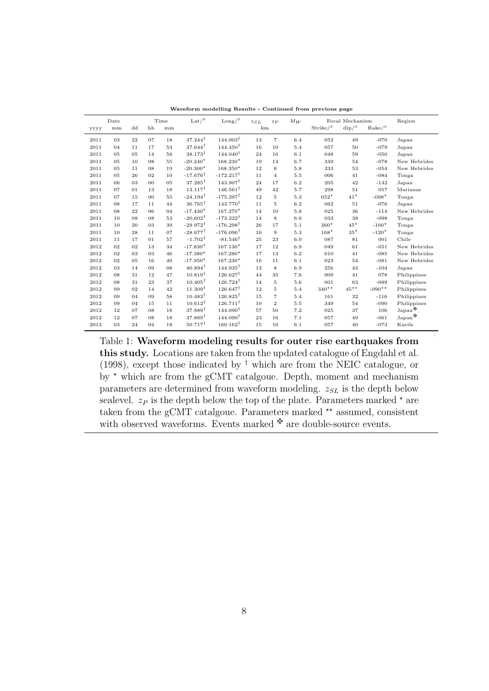|      | Date |    | Time           |    | Lat $/$ <sup>o</sup> | $\text{Long/}^{\circ}$ | $z_{SL}$ | $z_{P}$        | $M_W$ |                         | Focal Mechanism                  |                           | Region                          |
|------|------|----|----------------|----|----------------------|------------------------|----------|----------------|-------|-------------------------|----------------------------------|---------------------------|---------------------------------|
| уууу | mm   | dd | hh             | mm |                      |                        | km       |                |       | $Strike /$ <sup>o</sup> | $\mathrm{dip}/\mathrm{^{\circ}}$ | $\rm{Rate}/\rm{^{\circ}}$ |                                 |
| 2011 | 03   | 22 | 07             | 18 | $37.244^{\dagger}$   | $144.003^{\dagger}$    | 13       | $\overline{7}$ | 6.4   | 052                     | 49                               | $-070$                    | Japan                           |
| 2011 | 04   | 11 | 17             | 53 | $37.644^{\dagger}$   | $144.450^{\dagger}$    | 16       | 10             | 5.4   | 057                     | 50                               | $-079$                    | Japan                           |
| 2011 | 0.5  | 05 | 14             | 58 | $38.173^{\dagger}$   | $144.040^{\dagger}$    | 24       | 16             | 6.1   | 048                     | 59                               | $-050$                    | Japan                           |
| 2011 | 05   | 10 | 08             | 55 | $-20.240*$           | $168.230*$             | 19       | 14             | 6.7   | 349                     | 54                               | $-078$                    | New Hebrides                    |
| 2011 | 05   | 11 | 08             | 19 | $-20.300*$           | $168.350*$             | 12       | 6              | 5.8   | 333                     | 53                               | $-054$                    | New Hebrides                    |
| 2011 | 05   | 26 | 02             | 10 | $-17.676^{\dagger}$  | $-172.217^{\dagger}$   | 11       | $\overline{4}$ | 5.5   | 006                     | 41                               | $-084$                    | Tonga                           |
| 2011 | 06   | 03 | 0 <sub>0</sub> | 05 | $37.285^{\dagger}$   | $143.907^{\dagger}$    | 24       | 17             | 6.2   | 205                     | 42                               | $-132$                    | Japan                           |
| 2011 | 07   | 01 | 13             | 18 | $13.117^{\dagger}$   | $146.561^{\dagger}$    | 49       | 42             | 5.7   | 298                     | 51                               | 057                       | Marianas                        |
| 2011 | 07   | 15 | 0 <sub>0</sub> | 55 | $-24.194^{\dagger}$  | $-175.297^{\dagger}$   | 12       | 5              | 5.3   | $052*$                  | $41*$                            | $-098*$                   | Tonga                           |
| 2011 | 08   | 17 | 11             | 44 | $36.765^{\dagger}$   | $143.770^{\dagger}$    | 11       | 5              | 6.2   | 062                     | 51                               | $-076$                    | Japan                           |
| 2011 | 08   | 22 | 06             | 04 | $-17.430*$           | $167.270*$             | 14       | 10             | 5.8   | 025                     | 36                               | $-114$                    | New Hebrides                    |
| 2011 | 10   | 08 | 08             | 53 | $-20.602^{\dagger}$  | $-173.222^{\dagger}$   | 14       | 8              | 6.0   | 033                     | 38                               | $-098$                    | Tonga                           |
| 2011 | 10   | 20 | 03             | 39 | $-29.972^{\dagger}$  | $-176.298^{\dagger}$   | 26       | 17             | 5.1   | $360*$                  | $45*$                            | $-100*$                   | Tonga                           |
| 2011 | 10   | 28 | 11             | 07 | $-28.677^{\dagger}$  | $-176.096^{\dagger}$   | 16       | 9              | 5.3   | $168*$                  | $35*$                            | $-120*$                   | Tonga                           |
| 2011 | 11   | 17 | 01             | 57 | $-1.702^{\dagger}$   | $-81.546^{\dagger}$    | 25       | 23             | 6.0   | 087                     | 81                               | 001                       | Chile                           |
| 2012 | 02   | 02 | 13             | 34 | $-17.830*$           | $167.130*$             | 17       | 12             | 6.9   | 049                     | 61                               | $-051$                    | New Hebrides                    |
| 2012 | 02   | 03 | 03             | 46 | $-17.380*$           | 167.280*               | 17       | 13             | 6.2   | 010                     | 41                               | $-085$                    | New Hebrides                    |
| 2012 | 02   | 05 | 16             | 40 | $-17.950*$           | 167.230*               | 16       | 11             | 6.1   | 023                     | 54                               | $-081$                    | New Hebrides                    |
| 2012 | 03   | 14 | 09             | 08 | $40.894^{\dagger}$   | $144.935^{\dagger}$    | 13       | 8              | 6.9   | 256                     | 43                               | $-104$                    | Japan                           |
| 2012 | 08   | 31 | 12             | 47 | $10.819^{\dagger}$   | $126.627^{\dagger}$    | 44       | 35             | 7.6   | 009                     | 41                               | 078                       | Philippines                     |
| 2012 | 08   | 31 | 23             | 37 | $10.405^{\dagger}$   | $126.724^{\dagger}$    | 14       | 5              | 5.6   | 001                     | 63                               | $-089$                    | Philippines                     |
| 2012 | 09   | 02 | 14             | 42 | $11.309^{\dagger}$   | $126.647^{\dagger}$    | 12       | 5              | 5.4   | $340**$                 | $45^{\star\star}$                | $-090**$                  | Philippines                     |
| 2012 | 09   | 04 | 09             | 58 | $10.483^{\dagger}$   | $126.825^{\dagger}$    | 15       | $\overline{7}$ | 5.4   | 161                     | 32                               | $-116$                    | Philippines                     |
| 2012 | 09   | 04 | 15             | 11 | $10.612^{\dagger}$   | $126.711^{\dagger}$    | 10       | $\overline{2}$ | 5.5   | 349                     | 54                               | $-090$                    | Philippines                     |
| 2012 | 12   | 07 | 08             | 18 | $37.889^{\dagger}$   | $144.090^{\dagger}$    | 57       | 50             | 7.2   | 025                     | 37                               | 106                       | $\mathrm{Japan}^{\mathfrak{B}}$ |
| 2012 | 12   | 07 | 08             | 18 | $37.889^{\dagger}$   | $144.090^{\dagger}$    | 23       | 16             | 7.1   | 057                     | 49                               | $-061$                    | $\mathrm{Japan}^{\maltese}$     |
| 2013 | 03   | 24 | 04             | 18 | $50.717^{\dagger}$   | $160.162^{\dagger}$    | 15       | 10             | 6.1   | 057                     | 40                               | $-073$                    | Kurils                          |

Waveform modelling Results - Continued from previous page

Table 1: Waveform modeling results for outer rise earthquakes from this study. Locations are taken from the updated catalogue of Engdahl et al. (1998), except those indicated by  $^{\dagger}$  which are from the NEIC catalogue, or by  $*$  which are from the gCMT catalgoue. Depth, moment and mechanism parameters are determined from waveform modeling.  $z_{SL}$  is the depth below sealevel.  $z_P$  is the depth below the top of the plate. Parameters marked  $\star$  are taken from the gCMT catalgoue. Parameters marked  $**$  assumed, consistent with observed waveforms. Events marked  $\mathbf{\mathbf{\mathcal{F}}}$  are double-source events.

.